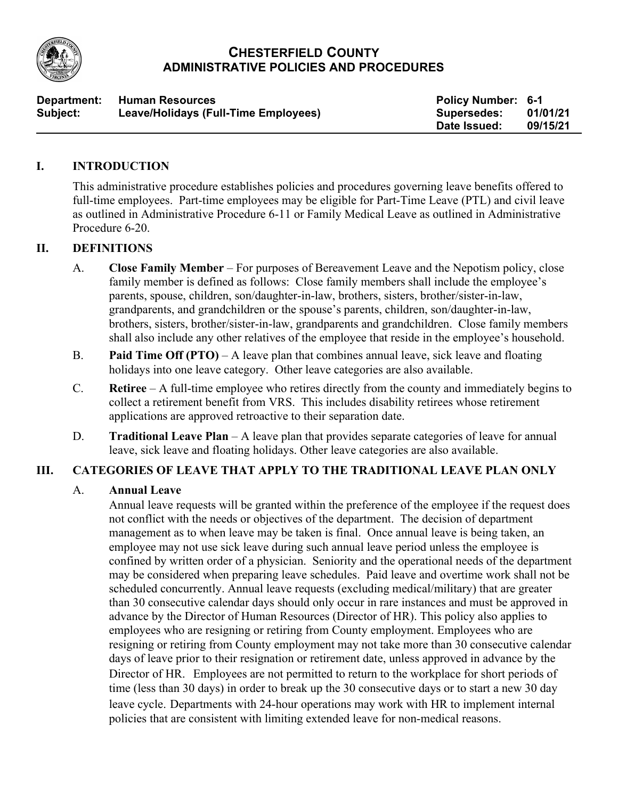

# **CHESTERFIELD COUNTY ADMINISTRATIVE POLICIES AND PROCEDURES**

| Department: | <b>Human Resources</b>               | <b>Policy Number: 6-1</b> |          |
|-------------|--------------------------------------|---------------------------|----------|
| Subject:    | Leave/Holidays (Full-Time Employees) | Supersedes:               | 01/01/21 |
|             |                                      | Date Issued:              | 09/15/21 |

# **I. INTRODUCTION**

This administrative procedure establishes policies and procedures governing leave benefits offered to full-time employees. Part-time employees may be eligible for Part-Time Leave (PTL) and civil leave as outlined in Administrative Procedure 6-11 or Family Medical Leave as outlined in Administrative Procedure 6-20.

### **II. DEFINITIONS**

- A. **Close Family Member** For purposes of Bereavement Leave and the Nepotism policy, close family member is defined as follows: Close family members shall include the employee's parents, spouse, children, son/daughter-in-law, brothers, sisters, brother/sister-in-law, grandparents, and grandchildren or the spouse's parents, children, son/daughter-in-law, brothers, sisters, brother/sister-in-law, grandparents and grandchildren. Close family members shall also include any other relatives of the employee that reside in the employee's household.
- B. **Paid Time Off (PTO)** A leave plan that combines annual leave, sick leave and floating holidays into one leave category. Other leave categories are also available.
- C. **Retiree** A full-time employee who retires directly from the county and immediately begins to collect a retirement benefit from VRS. This includes disability retirees whose retirement applications are approved retroactive to their separation date.
- D. **Traditional Leave Plan** A leave plan that provides separate categories of leave for annual leave, sick leave and floating holidays. Other leave categories are also available.

## **III. CATEGORIES OF LEAVE THAT APPLY TO THE TRADITIONAL LEAVE PLAN ONLY**

## A. **Annual Leave**

Annual leave requests will be granted within the preference of the employee if the request does not conflict with the needs or objectives of the department. The decision of department management as to when leave may be taken is final. Once annual leave is being taken, an employee may not use sick leave during such annual leave period unless the employee is confined by written order of a physician. Seniority and the operational needs of the department may be considered when preparing leave schedules. Paid leave and overtime work shall not be scheduled concurrently. Annual leave requests (excluding medical/military) that are greater than 30 consecutive calendar days should only occur in rare instances and must be approved in advance by the Director of Human Resources (Director of HR). This policy also applies to employees who are resigning or retiring from County employment. Employees who are resigning or retiring from County employment may not take more than 30 consecutive calendar days of leave prior to their resignation or retirement date, unless approved in advance by the Director of HR. Employees are not permitted to return to the workplace for short periods of time (less than 30 days) in order to break up the 30 consecutive days or to start a new 30 day leave cycle. Departments with 24-hour operations may work with HR to implement internal policies that are consistent with limiting extended leave for non-medical reasons.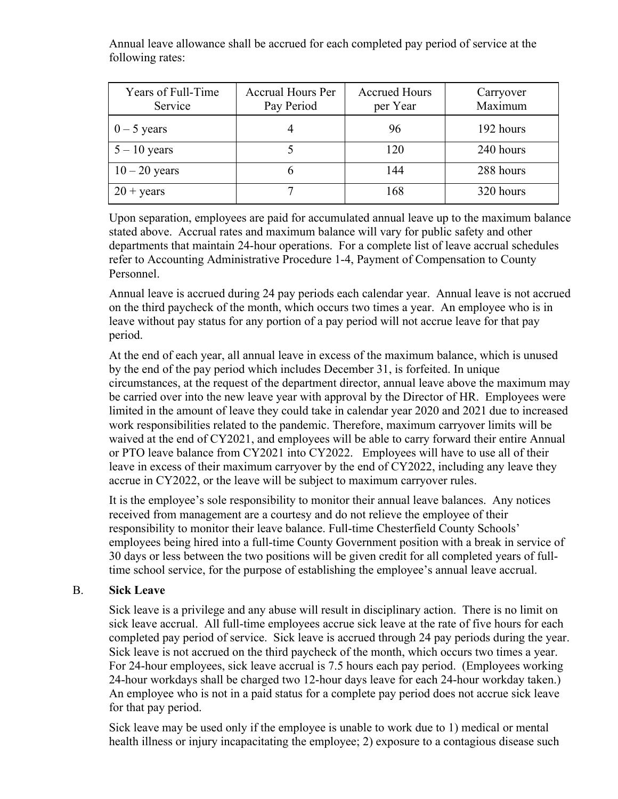Annual leave allowance shall be accrued for each completed pay period of service at the following rates:

| Years of Full-Time<br>Service | <b>Accrual Hours Per</b><br>Pay Period | <b>Accrued Hours</b><br>per Year | Carryover<br>Maximum |
|-------------------------------|----------------------------------------|----------------------------------|----------------------|
| $0 - 5$ years                 |                                        | 96                               | 192 hours            |
| $5 - 10$ years                |                                        | 120                              | 240 hours            |
| $10 - 20$ years               | n                                      | 144                              | 288 hours            |
| $20 + \text{years}$           |                                        | 168                              | 320 hours            |

Upon separation, employees are paid for accumulated annual leave up to the maximum balance stated above. Accrual rates and maximum balance will vary for public safety and other departments that maintain 24-hour operations. For a complete list of leave accrual schedules refer to Accounting Administrative Procedure 1-4, Payment of Compensation to County Personnel.

Annual leave is accrued during 24 pay periods each calendar year. Annual leave is not accrued on the third paycheck of the month, which occurs two times a year. An employee who is in leave without pay status for any portion of a pay period will not accrue leave for that pay period.

At the end of each year, all annual leave in excess of the maximum balance, which is unused by the end of the pay period which includes December 31, is forfeited. In unique circumstances, at the request of the department director, annual leave above the maximum may be carried over into the new leave year with approval by the Director of HR. Employees were limited in the amount of leave they could take in calendar year 2020 and 2021 due to increased work responsibilities related to the pandemic. Therefore, maximum carryover limits will be waived at the end of CY2021, and employees will be able to carry forward their entire Annual or PTO leave balance from CY2021 into CY2022. Employees will have to use all of their leave in excess of their maximum carryover by the end of CY2022, including any leave they accrue in CY2022, or the leave will be subject to maximum carryover rules.

It is the employee's sole responsibility to monitor their annual leave balances. Any notices received from management are a courtesy and do not relieve the employee of their responsibility to monitor their leave balance. Full-time Chesterfield County Schools' employees being hired into a full-time County Government position with a break in service of 30 days or less between the two positions will be given credit for all completed years of fulltime school service, for the purpose of establishing the employee's annual leave accrual.

## B. **Sick Leave**

Sick leave is a privilege and any abuse will result in disciplinary action. There is no limit on sick leave accrual. All full-time employees accrue sick leave at the rate of five hours for each completed pay period of service. Sick leave is accrued through 24 pay periods during the year. Sick leave is not accrued on the third paycheck of the month, which occurs two times a year. For 24-hour employees, sick leave accrual is 7.5 hours each pay period. (Employees working 24-hour workdays shall be charged two 12-hour days leave for each 24-hour workday taken.) An employee who is not in a paid status for a complete pay period does not accrue sick leave for that pay period.

Sick leave may be used only if the employee is unable to work due to 1) medical or mental health illness or injury incapacitating the employee; 2) exposure to a contagious disease such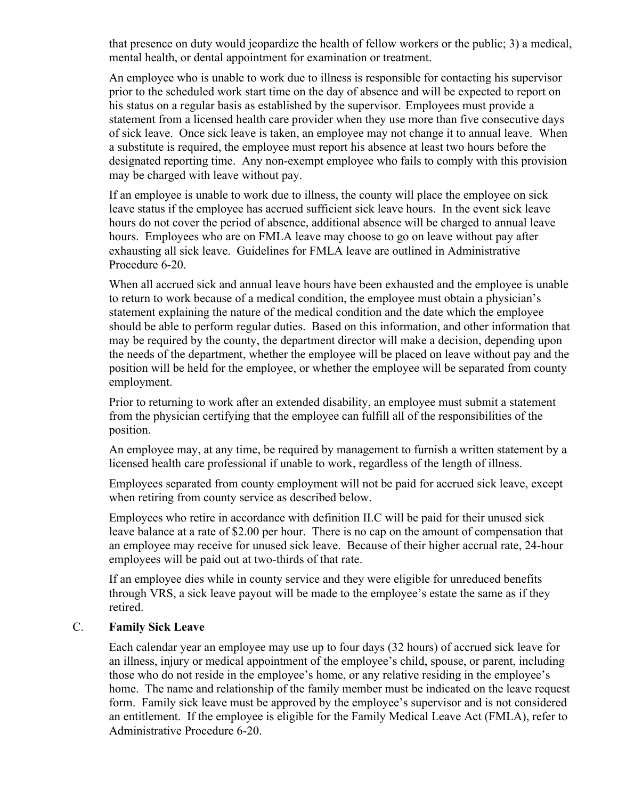that presence on duty would jeopardize the health of fellow workers or the public; 3) a medical, mental health, or dental appointment for examination or treatment.

An employee who is unable to work due to illness is responsible for contacting his supervisor prior to the scheduled work start time on the day of absence and will be expected to report on his status on a regular basis as established by the supervisor. Employees must provide a statement from a licensed health care provider when they use more than five consecutive days of sick leave. Once sick leave is taken, an employee may not change it to annual leave.When a substitute is required, the employee must report his absence at least two hours before the designated reporting time. Any non-exempt employee who fails to comply with this provision may be charged with leave without pay.

If an employee is unable to work due to illness, the county will place the employee on sick leave status if the employee has accrued sufficient sick leave hours. In the event sick leave hours do not cover the period of absence, additional absence will be charged to annual leave hours. Employees who are on FMLA leave may choose to go on leave without pay after exhausting all sick leave. Guidelines for FMLA leave are outlined in Administrative Procedure 6-20.

When all accrued sick and annual leave hours have been exhausted and the employee is unable to return to work because of a medical condition, the employee must obtain a physician's statement explaining the nature of the medical condition and the date which the employee should be able to perform regular duties. Based on this information, and other information that may be required by the county, the department director will make a decision, depending upon the needs of the department, whether the employee will be placed on leave without pay and the position will be held for the employee, or whether the employee will be separated from county employment.

Prior to returning to work after an extended disability, an employee must submit a statement from the physician certifying that the employee can fulfill all of the responsibilities of the position.

An employee may, at any time, be required by management to furnish a written statement by a licensed health care professional if unable to work, regardless of the length of illness.

Employees separated from county employment will not be paid for accrued sick leave, except when retiring from county service as described below.

Employees who retire in accordance with definition II.C will be paid for their unused sick leave balance at a rate of \$2.00 per hour. There is no cap on the amount of compensation that an employee may receive for unused sick leave. Because of their higher accrual rate, 24-hour employees will be paid out at two-thirds of that rate.

If an employee dies while in county service and they were eligible for unreduced benefits through VRS, a sick leave payout will be made to the employee's estate the same as if they retired.

#### C. **Family Sick Leave**

Each calendar year an employee may use up to four days (32 hours) of accrued sick leave for an illness, injury or medical appointment of the employee's child, spouse, or parent, including those who do not reside in the employee's home, or any relative residing in the employee's home. The name and relationship of the family member must be indicated on the leave request form. Family sick leave must be approved by the employee's supervisor and is not considered an entitlement. If the employee is eligible for the Family Medical Leave Act (FMLA), refer to Administrative Procedure 6-20.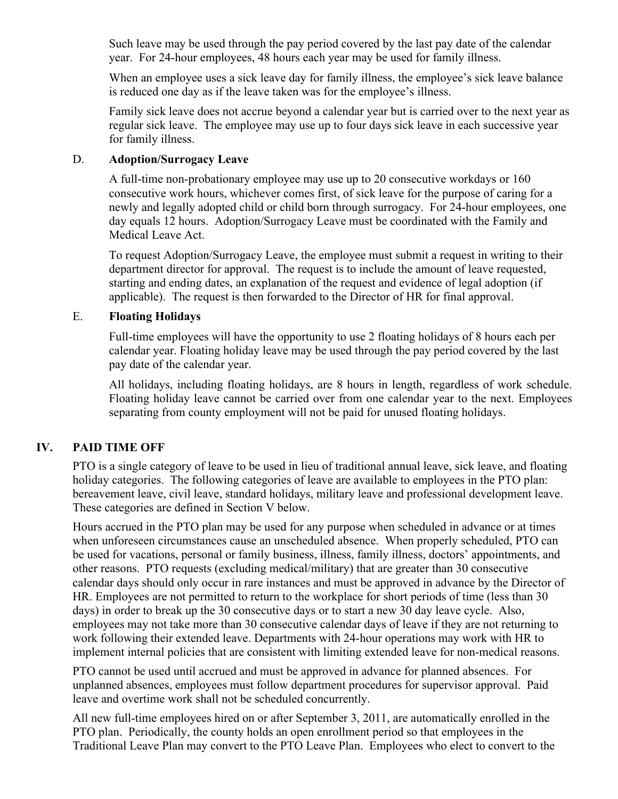Such leave may be used through the pay period covered by the last pay date of the calendar year. For 24-hour employees, 48 hours each year may be used for family illness.

When an employee uses a sick leave day for family illness, the employee's sick leave balance is reduced one day as if the leave taken was for the employee's illness.

Family sick leave does not accrue beyond a calendar year but is carried over to the next year as regular sick leave. The employee may use up to four days sick leave in each successive year for family illness.

### D. **Adoption/Surrogacy Leave**

A full-time non-probationary employee may use up to 20 consecutive workdays or 160 consecutive work hours, whichever comes first, of sick leave for the purpose of caring for a newly and legally adopted child or child born through surrogacy. For 24-hour employees, one day equals 12 hours. Adoption/Surrogacy Leave must be coordinated with the Family and Medical Leave Act.

To request Adoption/Surrogacy Leave, the employee must submit a request in writing to their department director for approval. The request is to include the amount of leave requested, starting and ending dates, an explanation of the request and evidence of legal adoption (if applicable). The request is then forwarded to the Director of HR for final approval.

### E. **Floating Holidays**

Full-time employees will have the opportunity to use 2 floating holidays of 8 hours each per calendar year. Floating holiday leave may be used through the pay period covered by the last pay date of the calendar year.

All holidays, including floating holidays, are 8 hours in length, regardless of work schedule. Floating holiday leave cannot be carried over from one calendar year to the next. Employees separating from county employment will not be paid for unused floating holidays.

## **IV. PAID TIME OFF**

PTO is a single category of leave to be used in lieu of traditional annual leave, sick leave, and floating holiday categories. The following categories of leave are available to employees in the PTO plan: bereavement leave, civil leave, standard holidays, military leave and professional development leave. These categories are defined in Section V below.

Hours accrued in the PTO plan may be used for any purpose when scheduled in advance or at times when unforeseen circumstances cause an unscheduled absence. When properly scheduled, PTO can be used for vacations, personal or family business, illness, family illness, doctors' appointments, and other reasons. PTO requests (excluding medical/military) that are greater than 30 consecutive calendar days should only occur in rare instances and must be approved in advance by the Director of HR. Employees are not permitted to return to the workplace for short periods of time (less than 30 days) in order to break up the 30 consecutive days or to start a new 30 day leave cycle. Also, employees may not take more than 30 consecutive calendar days of leave if they are not returning to work following their extended leave. Departments with 24-hour operations may work with HR to implement internal policies that are consistent with limiting extended leave for non-medical reasons.

PTO cannot be used until accrued and must be approved in advance for planned absences. For unplanned absences, employees must follow department procedures for supervisor approval. Paid leave and overtime work shall not be scheduled concurrently.

All new full-time employees hired on or after September 3, 2011, are automatically enrolled in the PTO plan. Periodically, the county holds an open enrollment period so that employees in the Traditional Leave Plan may convert to the PTO Leave Plan. Employees who elect to convert to the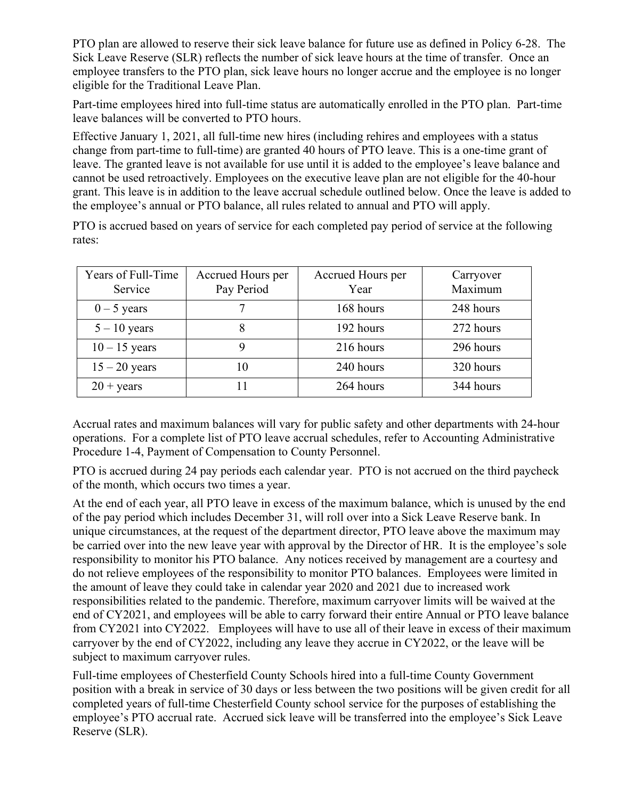PTO plan are allowed to reserve their sick leave balance for future use as defined in Policy 6-28. The Sick Leave Reserve (SLR) reflects the number of sick leave hours at the time of transfer. Once an employee transfers to the PTO plan, sick leave hours no longer accrue and the employee is no longer eligible for the Traditional Leave Plan.

Part-time employees hired into full-time status are automatically enrolled in the PTO plan. Part-time leave balances will be converted to PTO hours.

Effective January 1, 2021, all full-time new hires (including rehires and employees with a status change from part-time to full-time) are granted 40 hours of PTO leave. This is a one-time grant of leave. The granted leave is not available for use until it is added to the employee's leave balance and cannot be used retroactively. Employees on the executive leave plan are not eligible for the 40-hour grant. This leave is in addition to the leave accrual schedule outlined below. Once the leave is added to the employee's annual or PTO balance, all rules related to annual and PTO will apply.

PTO is accrued based on years of service for each completed pay period of service at the following rates:

| Years of Full-Time<br>Service | Accrued Hours per<br>Pay Period | Accrued Hours per<br>Year | Carryover<br>Maximum |
|-------------------------------|---------------------------------|---------------------------|----------------------|
| $0 - 5$ years                 |                                 | 168 hours                 | 248 hours            |
| $5 - 10$ years                |                                 | 192 hours                 | 272 hours            |
| $10 - 15$ years               |                                 | 216 hours                 | 296 hours            |
| $15 - 20$ years               | 10                              | 240 hours                 | 320 hours            |
| $20 + \text{years}$           |                                 | 264 hours                 | 344 hours            |

Accrual rates and maximum balances will vary for public safety and other departments with 24-hour operations. For a complete list of PTO leave accrual schedules, refer to Accounting Administrative Procedure 1-4, Payment of Compensation to County Personnel.

PTO is accrued during 24 pay periods each calendar year. PTO is not accrued on the third paycheck of the month, which occurs two times a year.

At the end of each year, all PTO leave in excess of the maximum balance, which is unused by the end of the pay period which includes December 31, will roll over into a Sick Leave Reserve bank. In unique circumstances, at the request of the department director, PTO leave above the maximum may be carried over into the new leave year with approval by the Director of HR. It is the employee's sole responsibility to monitor his PTO balance. Any notices received by management are a courtesy and do not relieve employees of the responsibility to monitor PTO balances. Employees were limited in the amount of leave they could take in calendar year 2020 and 2021 due to increased work responsibilities related to the pandemic. Therefore, maximum carryover limits will be waived at the end of CY2021, and employees will be able to carry forward their entire Annual or PTO leave balance from CY2021 into CY2022. Employees will have to use all of their leave in excess of their maximum carryover by the end of CY2022, including any leave they accrue in CY2022, or the leave will be subject to maximum carryover rules.

Full-time employees of Chesterfield County Schools hired into a full-time County Government position with a break in service of 30 days or less between the two positions will be given credit for all completed years of full-time Chesterfield County school service for the purposes of establishing the employee's PTO accrual rate. Accrued sick leave will be transferred into the employee's Sick Leave Reserve (SLR).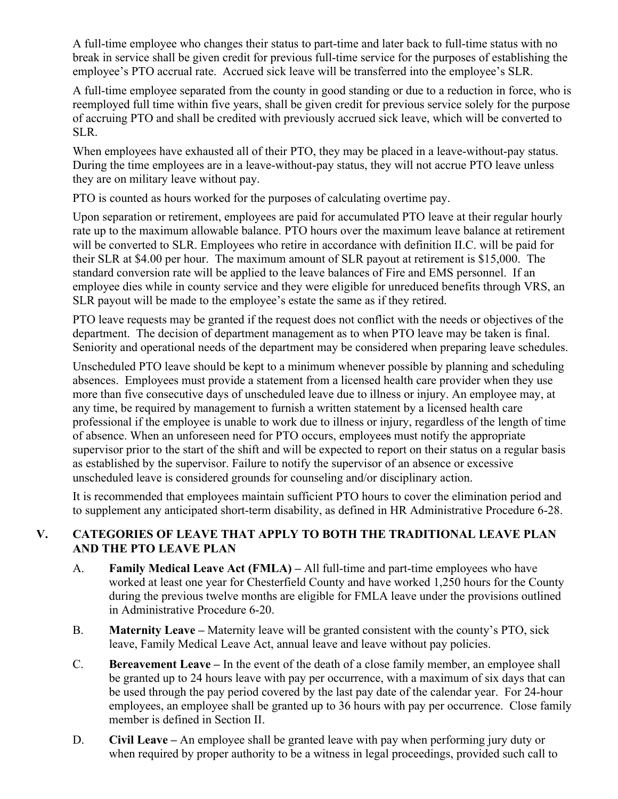A full-time employee who changes their status to part-time and later back to full-time status with no break in service shall be given credit for previous full-time service for the purposes of establishing the employee's PTO accrual rate. Accrued sick leave will be transferred into the employee's SLR.

A full-time employee separated from the county in good standing or due to a reduction in force, who is reemployed full time within five years, shall be given credit for previous service solely for the purpose of accruing PTO and shall be credited with previously accrued sick leave, which will be converted to SLR.

When employees have exhausted all of their PTO, they may be placed in a leave-without-pay status. During the time employees are in a leave-without-pay status, they will not accrue PTO leave unless they are on military leave without pay.

PTO is counted as hours worked for the purposes of calculating overtime pay.

Upon separation or retirement, employees are paid for accumulated PTO leave at their regular hourly rate up to the maximum allowable balance. PTO hours over the maximum leave balance at retirement will be converted to SLR. Employees who retire in accordance with definition II.C. will be paid for their SLR at \$4.00 per hour. The maximum amount of SLR payout at retirement is \$15,000. The standard conversion rate will be applied to the leave balances of Fire and EMS personnel. If an employee dies while in county service and they were eligible for unreduced benefits through VRS, an SLR payout will be made to the employee's estate the same as if they retired.

PTO leave requests may be granted if the request does not conflict with the needs or objectives of the department. The decision of department management as to when PTO leave may be taken is final. Seniority and operational needs of the department may be considered when preparing leave schedules.

Unscheduled PTO leave should be kept to a minimum whenever possible by planning and scheduling absences. Employees must provide a statement from a licensed health care provider when they use more than five consecutive days of unscheduled leave due to illness or injury. An employee may, at any time, be required by management to furnish a written statement by a licensed health care professional if the employee is unable to work due to illness or injury, regardless of the length of time of absence. When an unforeseen need for PTO occurs, employees must notify the appropriate supervisor prior to the start of the shift and will be expected to report on their status on a regular basis as established by the supervisor. Failure to notify the supervisor of an absence or excessive unscheduled leave is considered grounds for counseling and/or disciplinary action.

It is recommended that employees maintain sufficient PTO hours to cover the elimination period and to supplement any anticipated short-term disability, as defined in HR Administrative Procedure 6-28.

# **V. CATEGORIES OF LEAVE THAT APPLY TO BOTH THE TRADITIONAL LEAVE PLAN AND THE PTO LEAVE PLAN**

- A. **Family Medical Leave Act (FMLA) –** All full-time and part-time employees who have worked at least one year for Chesterfield County and have worked 1,250 hours for the County during the previous twelve months are eligible for FMLA leave under the provisions outlined in Administrative Procedure 6-20.
- B. **Maternity Leave –** Maternity leave will be granted consistent with the county's PTO, sick leave, Family Medical Leave Act, annual leave and leave without pay policies.
- C. **Bereavement Leave –** In the event of the death of a close family member, an employee shall be granted up to 24 hours leave with pay per occurrence, with a maximum of six days that can be used through the pay period covered by the last pay date of the calendar year. For 24-hour employees, an employee shall be granted up to 36 hours with pay per occurrence. Close family member is defined in Section II.
- D. **Civil Leave –** An employee shall be granted leave with pay when performing jury duty or when required by proper authority to be a witness in legal proceedings, provided such call to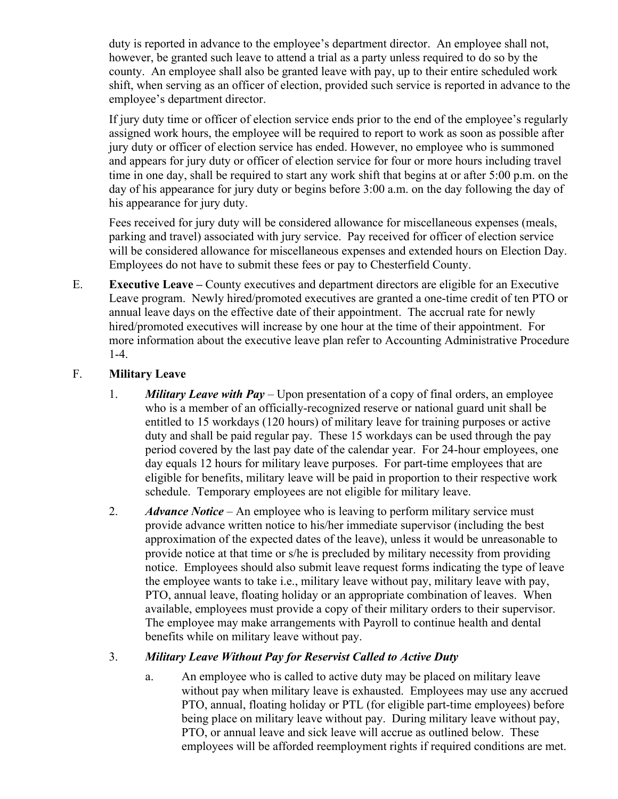duty is reported in advance to the employee's department director. An employee shall not, however, be granted such leave to attend a trial as a party unless required to do so by the county. An employee shall also be granted leave with pay, up to their entire scheduled work shift, when serving as an officer of election, provided such service is reported in advance to the employee's department director.

If jury duty time or officer of election service ends prior to the end of the employee's regularly assigned work hours, the employee will be required to report to work as soon as possible after jury duty or officer of election service has ended. However, no employee who is summoned and appears for jury duty or officer of election service for four or more hours including travel time in one day, shall be required to start any work shift that begins at or after 5:00 p.m. on the day of his appearance for jury duty or begins before 3:00 a.m. on the day following the day of his appearance for jury duty.

Fees received for jury duty will be considered allowance for miscellaneous expenses (meals, parking and travel) associated with jury service. Pay received for officer of election service will be considered allowance for miscellaneous expenses and extended hours on Election Day. Employees do not have to submit these fees or pay to Chesterfield County.

E. **Executive Leave –** County executives and department directors are eligible for an Executive Leave program. Newly hired/promoted executives are granted a one-time credit of ten PTO or annual leave days on the effective date of their appointment. The accrual rate for newly hired/promoted executives will increase by one hour at the time of their appointment. For more information about the executive leave plan refer to Accounting Administrative Procedure 1-4.

## F. **Military Leave**

- 1. *Military Leave with Pay* Upon presentation of a copy of final orders, an employee who is a member of an officially-recognized reserve or national guard unit shall be entitled to 15 workdays (120 hours) of military leave for training purposes or active duty and shall be paid regular pay. These 15 workdays can be used through the pay period covered by the last pay date of the calendar year.For 24-hour employees, one day equals 12 hours for military leave purposes. For part-time employees that are eligible for benefits, military leave will be paid in proportion to their respective work schedule. Temporary employees are not eligible for military leave.
- 2. *Advance Notice* An employee who is leaving to perform military service must provide advance written notice to his/her immediate supervisor (including the best approximation of the expected dates of the leave), unless it would be unreasonable to provide notice at that time or s/he is precluded by military necessity from providing notice. Employees should also submit leave request forms indicating the type of leave the employee wants to take i.e., military leave without pay, military leave with pay, PTO, annual leave, floating holiday or an appropriate combination of leaves. When available, employees must provide a copy of their military orders to their supervisor. The employee may make arrangements with Payroll to continue health and dental benefits while on military leave without pay.

## 3. *Military Leave Without Pay for Reservist Called to Active Duty*

a. An employee who is called to active duty may be placed on military leave without pay when military leave is exhausted. Employees may use any accrued PTO, annual, floating holiday or PTL (for eligible part-time employees) before being place on military leave without pay. During military leave without pay, PTO, or annual leave and sick leave will accrue as outlined below. These employees will be afforded reemployment rights if required conditions are met.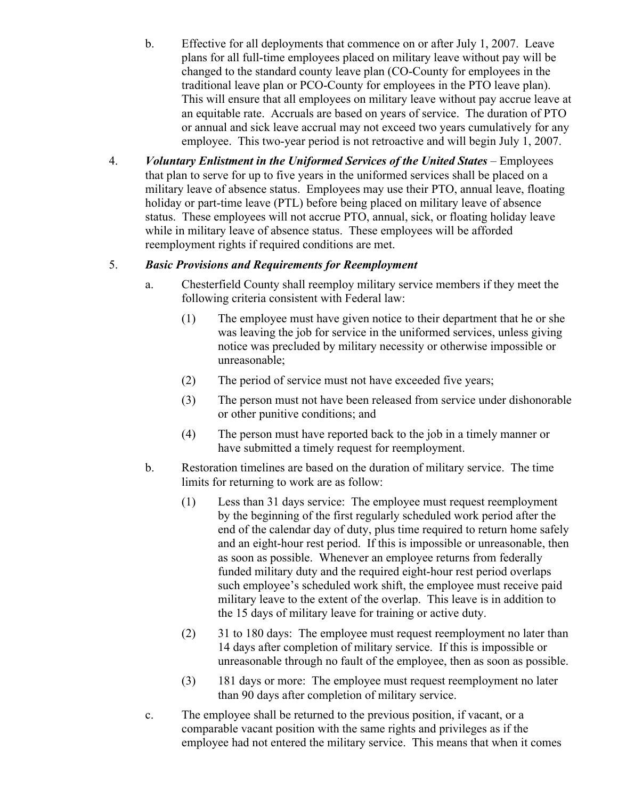- b. Effective for all deployments that commence on or after July 1, 2007. Leave plans for all full-time employees placed on military leave without pay will be changed to the standard county leave plan (CO-County for employees in the traditional leave plan or PCO-County for employees in the PTO leave plan). This will ensure that all employees on military leave without pay accrue leave at an equitable rate. Accruals are based on years of service. The duration of PTO or annual and sick leave accrual may not exceed two years cumulatively for any employee. This two-year period is not retroactive and will begin July 1, 2007.
- 4. *Voluntary Enlistment in the Uniformed Services of the United States* Employees that plan to serve for up to five years in the uniformed services shall be placed on a military leave of absence status. Employees may use their PTO, annual leave, floating holiday or part-time leave (PTL) before being placed on military leave of absence status. These employees will not accrue PTO, annual, sick, or floating holiday leave while in military leave of absence status. These employees will be afforded reemployment rights if required conditions are met.

# 5. *Basic Provisions and Requirements for Reemployment*

- a. Chesterfield County shall reemploy military service members if they meet the following criteria consistent with Federal law:
	- (1) The employee must have given notice to their department that he or she was leaving the job for service in the uniformed services, unless giving notice was precluded by military necessity or otherwise impossible or unreasonable;
	- (2) The period of service must not have exceeded five years;
	- (3) The person must not have been released from service under dishonorable or other punitive conditions; and
	- (4) The person must have reported back to the job in a timely manner or have submitted a timely request for reemployment.
- b. Restoration timelines are based on the duration of military service. The time limits for returning to work are as follow:
	- (1) Less than 31 days service: The employee must request reemployment by the beginning of the first regularly scheduled work period after the end of the calendar day of duty, plus time required to return home safely and an eight-hour rest period. If this is impossible or unreasonable, then as soon as possible. Whenever an employee returns from federally funded military duty and the required eight-hour rest period overlaps such employee's scheduled work shift, the employee must receive paid military leave to the extent of the overlap. This leave is in addition to the 15 days of military leave for training or active duty.
	- (2) 31 to 180 days: The employee must request reemployment no later than 14 days after completion of military service. If this is impossible or unreasonable through no fault of the employee, then as soon as possible.
	- (3) 181 days or more: The employee must request reemployment no later than 90 days after completion of military service.
- c. The employee shall be returned to the previous position, if vacant, or a comparable vacant position with the same rights and privileges as if the employee had not entered the military service. This means that when it comes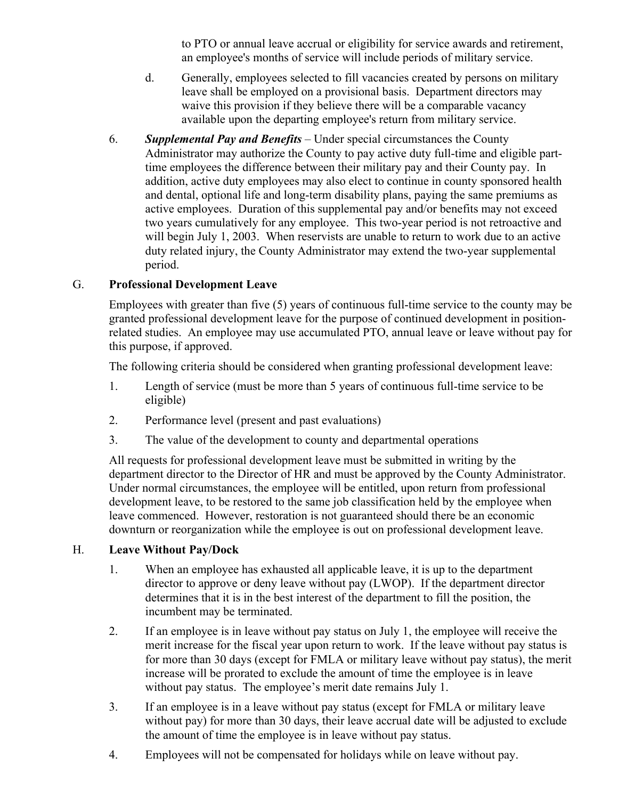to PTO or annual leave accrual or eligibility for service awards and retirement, an employee's months of service will include periods of military service.

- d. Generally, employees selected to fill vacancies created by persons on military leave shall be employed on a provisional basis. Department directors may waive this provision if they believe there will be a comparable vacancy available upon the departing employee's return from military service.
- 6. *Supplemental Pay and Benefits* Under special circumstances the County Administrator may authorize the County to pay active duty full-time and eligible parttime employees the difference between their military pay and their County pay. In addition, active duty employees may also elect to continue in county sponsored health and dental, optional life and long-term disability plans, paying the same premiums as active employees. Duration of this supplemental pay and/or benefits may not exceed two years cumulatively for any employee. This two-year period is not retroactive and will begin July 1, 2003. When reservists are unable to return to work due to an active duty related injury, the County Administrator may extend the two-year supplemental period.

## G. **Professional Development Leave**

Employees with greater than five (5) years of continuous full-time service to the county may be granted professional development leave for the purpose of continued development in positionrelated studies. An employee may use accumulated PTO, annual leave or leave without pay for this purpose, if approved.

The following criteria should be considered when granting professional development leave:

- 1. Length of service (must be more than 5 years of continuous full-time service to be eligible)
- 2. Performance level (present and past evaluations)
- 3. The value of the development to county and departmental operations

All requests for professional development leave must be submitted in writing by the department director to the Director of HR and must be approved by the County Administrator. Under normal circumstances, the employee will be entitled, upon return from professional development leave, to be restored to the same job classification held by the employee when leave commenced. However, restoration is not guaranteed should there be an economic downturn or reorganization while the employee is out on professional development leave.

## H. **Leave Without Pay/Dock**

- 1. When an employee has exhausted all applicable leave, it is up to the department director to approve or deny leave without pay (LWOP). If the department director determines that it is in the best interest of the department to fill the position, the incumbent may be terminated.
- 2. If an employee is in leave without pay status on July 1, the employee will receive the merit increase for the fiscal year upon return to work. If the leave without pay status is for more than 30 days (except for FMLA or military leave without pay status), the merit increase will be prorated to exclude the amount of time the employee is in leave without pay status. The employee's merit date remains July 1.
- 3. If an employee is in a leave without pay status (except for FMLA or military leave without pay) for more than 30 days, their leave accrual date will be adjusted to exclude the amount of time the employee is in leave without pay status.
- 4. Employees will not be compensated for holidays while on leave without pay.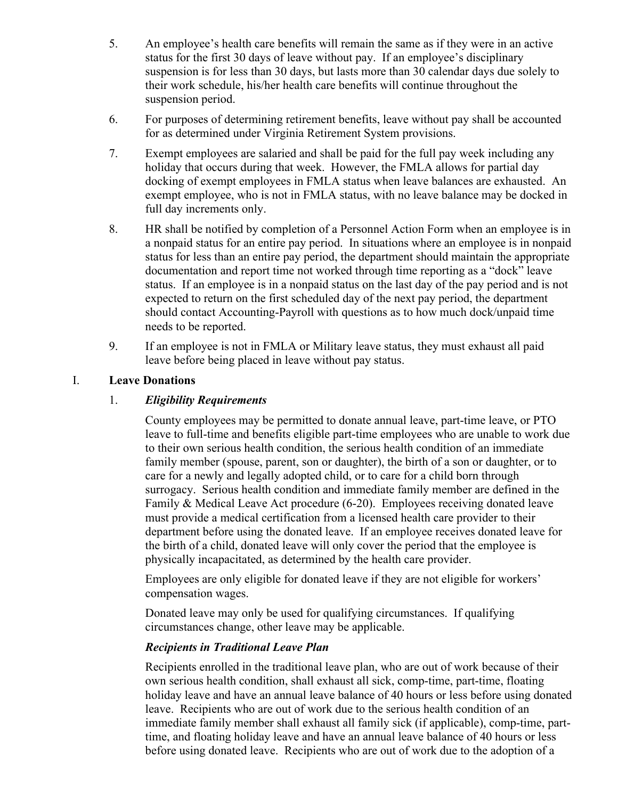- 5. An employee's health care benefits will remain the same as if they were in an active status for the first 30 days of leave without pay. If an employee's disciplinary suspension is for less than 30 days, but lasts more than 30 calendar days due solely to their work schedule, his/her health care benefits will continue throughout the suspension period.
- 6. For purposes of determining retirement benefits, leave without pay shall be accounted for as determined under Virginia Retirement System provisions.
- 7. Exempt employees are salaried and shall be paid for the full pay week including any holiday that occurs during that week. However, the FMLA allows for partial day docking of exempt employees in FMLA status when leave balances are exhausted. An exempt employee, who is not in FMLA status, with no leave balance may be docked in full day increments only.
- 8. HR shall be notified by completion of a Personnel Action Form when an employee is in a nonpaid status for an entire pay period. In situations where an employee is in nonpaid status for less than an entire pay period, the department should maintain the appropriate documentation and report time not worked through time reporting as a "dock" leave status. If an employee is in a nonpaid status on the last day of the pay period and is not expected to return on the first scheduled day of the next pay period, the department should contact Accounting-Payroll with questions as to how much dock/unpaid time needs to be reported.
- 9. If an employee is not in FMLA or Military leave status, they must exhaust all paid leave before being placed in leave without pay status.

## I. **Leave Donations**

#### 1. *Eligibility Requirements*

County employees may be permitted to donate annual leave, part-time leave, or PTO leave to full-time and benefits eligible part-time employees who are unable to work due to their own serious health condition, the serious health condition of an immediate family member (spouse, parent, son or daughter), the birth of a son or daughter, or to care for a newly and legally adopted child, or to care for a child born through surrogacy. Serious health condition and immediate family member are defined in the Family & Medical Leave Act procedure (6-20). Employees receiving donated leave must provide a medical certification from a licensed health care provider to their department before using the donated leave.If an employee receives donated leave for the birth of a child, donated leave will only cover the period that the employee is physically incapacitated, as determined by the health care provider.

Employees are only eligible for donated leave if they are not eligible for workers' compensation wages.

Donated leave may only be used for qualifying circumstances. If qualifying circumstances change, other leave may be applicable.

#### *Recipients in Traditional Leave Plan*

Recipients enrolled in the traditional leave plan, who are out of work because of their own serious health condition, shall exhaust all sick, comp-time, part-time, floating holiday leave and have an annual leave balance of 40 hours or less before using donated leave. Recipients who are out of work due to the serious health condition of an immediate family member shall exhaust all family sick (if applicable), comp-time, parttime, and floating holiday leave and have an annual leave balance of 40 hours or less before using donated leave. Recipients who are out of work due to the adoption of a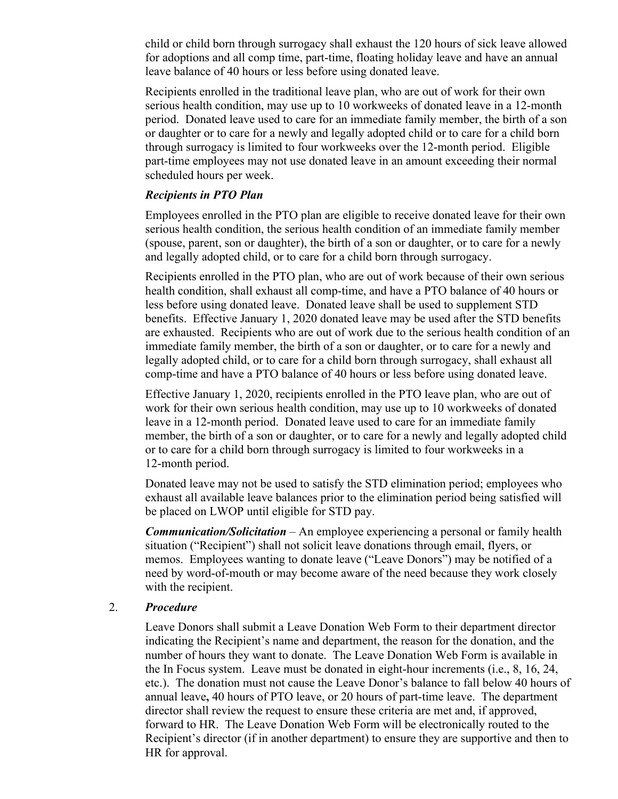child or child born through surrogacy shall exhaust the 120 hours of sick leave allowed for adoptions and all comp time, part-time, floating holiday leave and have an annual leave balance of 40 hours or less before using donated leave.

Recipients enrolled in the traditional leave plan, who are out of work for their own serious health condition, may use up to 10 workweeks of donated leave in a 12-month period. Donated leave used to care for an immediate family member, the birth of a son or daughter or to care for a newly and legally adopted child or to care for a child born through surrogacy is limited to four workweeks over the 12-month period. Eligible part-time employees may not use donated leave in an amount exceeding their normal scheduled hours per week.

#### *Recipients in PTO Plan*

Employees enrolled in the PTO plan are eligible to receive donated leave for their own serious health condition, the serious health condition of an immediate family member (spouse, parent, son or daughter), the birth of a son or daughter, or to care for a newly and legally adopted child, or to care for a child born through surrogacy.

Recipients enrolled in the PTO plan, who are out of work because of their own serious health condition, shall exhaust all comp-time, and have a PTO balance of 40 hours or less before using donated leave. Donated leave shall be used to supplement STD benefits. Effective January 1, 2020 donated leave may be used after the STD benefits are exhausted. Recipients who are out of work due to the serious health condition of an immediate family member, the birth of a son or daughter, or to care for a newly and legally adopted child, or to care for a child born through surrogacy, shall exhaust all comp-time and have a PTO balance of 40 hours or less before using donated leave.

Effective January 1, 2020, recipients enrolled in the PTO leave plan, who are out of work for their own serious health condition, may use up to 10 workweeks of donated leave in a 12-month period. Donated leave used to care for an immediate family member, the birth of a son or daughter, or to care for a newly and legally adopted child or to care for a child born through surrogacy is limited to four workweeks in a 12-month period.

Donated leave may not be used to satisfy the STD elimination period; employees who exhaust all available leave balances prior to the elimination period being satisfied will be placed on LWOP until eligible for STD pay.

*Communication/Solicitation* – An employee experiencing a personal or family health situation ("Recipient") shall not solicit leave donations through email, flyers, or memos. Employees wanting to donate leave ("Leave Donors") may be notified of a need by word-of-mouth or may become aware of the need because they work closely with the recipient.

#### 2. *Procedure*

Leave Donors shall submit a Leave Donation Web Form to their department director indicating the Recipient's name and department, the reason for the donation, and the number of hours they want to donate. The Leave Donation Web Form is available in the In Focus system. Leave must be donated in eight-hour increments (i.e., 8, 16, 24, etc.). The donation must not cause the Leave Donor's balance to fall below 40 hours of annual leave**,** 40 hours of PTO leave, or 20 hours of part-time leave. The department director shall review the request to ensure these criteria are met and, if approved, forward to HR. The Leave Donation Web Form will be electronically routed to the Recipient's director (if in another department) to ensure they are supportive and then to HR for approval.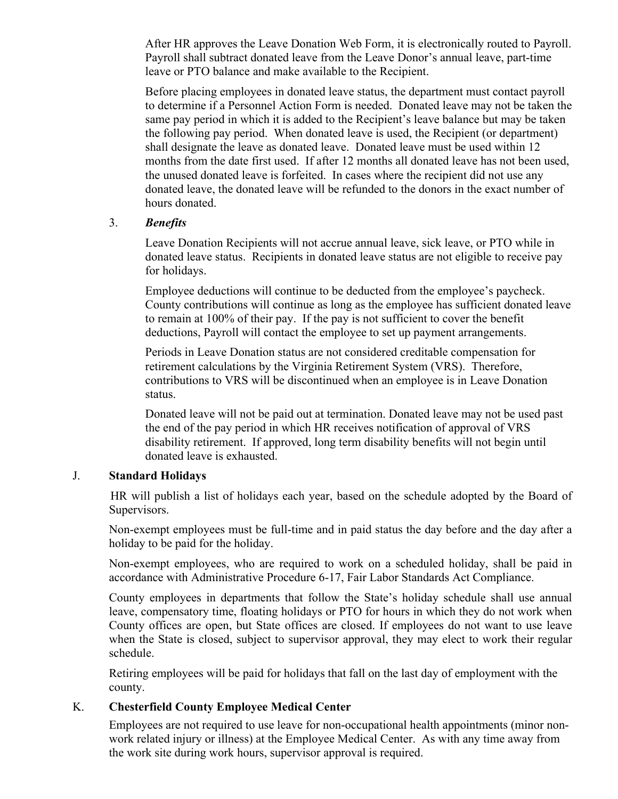After HR approves the Leave Donation Web Form, it is electronically routed to Payroll. Payroll shall subtract donated leave from the Leave Donor's annual leave, part-time leave or PTO balance and make available to the Recipient.

Before placing employees in donated leave status, the department must contact payroll to determine if a Personnel Action Form is needed. Donated leave may not be taken the same pay period in which it is added to the Recipient's leave balance but may be taken the following pay period. When donated leave is used, the Recipient (or department) shall designate the leave as donated leave. Donated leave must be used within 12 months from the date first used. If after 12 months all donated leave has not been used, the unused donated leave is forfeited. In cases where the recipient did not use any donated leave, the donated leave will be refunded to the donors in the exact number of hours donated.

#### 3. *Benefits*

Leave Donation Recipients will not accrue annual leave, sick leave, or PTO while in donated leave status. Recipients in donated leave status are not eligible to receive pay for holidays.

Employee deductions will continue to be deducted from the employee's paycheck. County contributions will continue as long as the employee has sufficient donated leave to remain at 100% of their pay. If the pay is not sufficient to cover the benefit deductions, Payroll will contact the employee to set up payment arrangements.

Periods in Leave Donation status are not considered creditable compensation for retirement calculations by the Virginia Retirement System (VRS). Therefore, contributions to VRS will be discontinued when an employee is in Leave Donation status.

Donated leave will not be paid out at termination. Donated leave may not be used past the end of the pay period in which HR receives notification of approval of VRS disability retirement. If approved, long term disability benefits will not begin until donated leave is exhausted.

## J. **Standard Holidays**

 HR will publish a list of holidays each year, based on the schedule adopted by the Board of Supervisors.

Non-exempt employees must be full-time and in paid status the day before and the day after a holiday to be paid for the holiday.

Non-exempt employees, who are required to work on a scheduled holiday, shall be paid in accordance with Administrative Procedure 6-17, Fair Labor Standards Act Compliance.

County employees in departments that follow the State's holiday schedule shall use annual leave, compensatory time, floating holidays or PTO for hours in which they do not work when County offices are open, but State offices are closed. If employees do not want to use leave when the State is closed, subject to supervisor approval, they may elect to work their regular schedule.

Retiring employees will be paid for holidays that fall on the last day of employment with the county.

## K. **Chesterfield County Employee Medical Center**

Employees are not required to use leave for non-occupational health appointments (minor nonwork related injury or illness) at the Employee Medical Center. As with any time away from the work site during work hours, supervisor approval is required.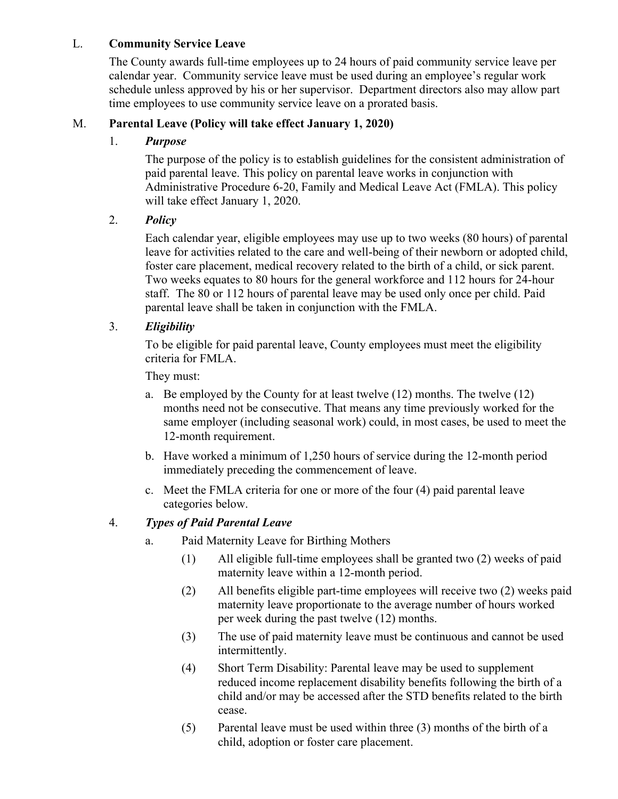## L. **Community Service Leave**

The County awards full-time employees up to 24 hours of paid community service leave per calendar year. Community service leave must be used during an employee's regular work schedule unless approved by his or her supervisor. Department directors also may allow part time employees to use community service leave on a prorated basis.

# M. **Parental Leave (Policy will take effect January 1, 2020)**

## 1. *Purpose*

The purpose of the policy is to establish guidelines for the consistent administration of paid parental leave. This policy on parental leave works in conjunction with Administrative Procedure 6-20, Family and Medical Leave Act (FMLA). This policy will take effect January 1, 2020.

## 2. *Policy*

Each calendar year, eligible employees may use up to two weeks (80 hours) of parental leave for activities related to the care and well-being of their newborn or adopted child, foster care placement, medical recovery related to the birth of a child, or sick parent. Two weeks equates to 80 hours for the general workforce and 112 hours for 24-hour staff. The 80 or 112 hours of parental leave may be used only once per child. Paid parental leave shall be taken in conjunction with the FMLA.

# 3. *Eligibility*

To be eligible for paid parental leave, County employees must meet the eligibility criteria for FMLA.

They must:

- a. Be employed by the County for at least twelve (12) months. The twelve (12) months need not be consecutive. That means any time previously worked for the same employer (including seasonal work) could, in most cases, be used to meet the 12-month requirement.
- b. Have worked a minimum of 1,250 hours of service during the 12-month period immediately preceding the commencement of leave.
- c. Meet the FMLA criteria for one or more of the four (4) paid parental leave categories below.

## 4. *Types of Paid Parental Leave*

- a. Paid Maternity Leave for Birthing Mothers
	- (1) All eligible full-time employees shall be granted two (2) weeks of paid maternity leave within a 12-month period.
	- (2) All benefits eligible part-time employees will receive two (2) weeks paid maternity leave proportionate to the average number of hours worked per week during the past twelve (12) months.
	- (3) The use of paid maternity leave must be continuous and cannot be used intermittently.
	- (4) Short Term Disability: Parental leave may be used to supplement reduced income replacement disability benefits following the birth of a child and/or may be accessed after the STD benefits related to the birth cease.
	- (5) Parental leave must be used within three (3) months of the birth of a child, adoption or foster care placement.